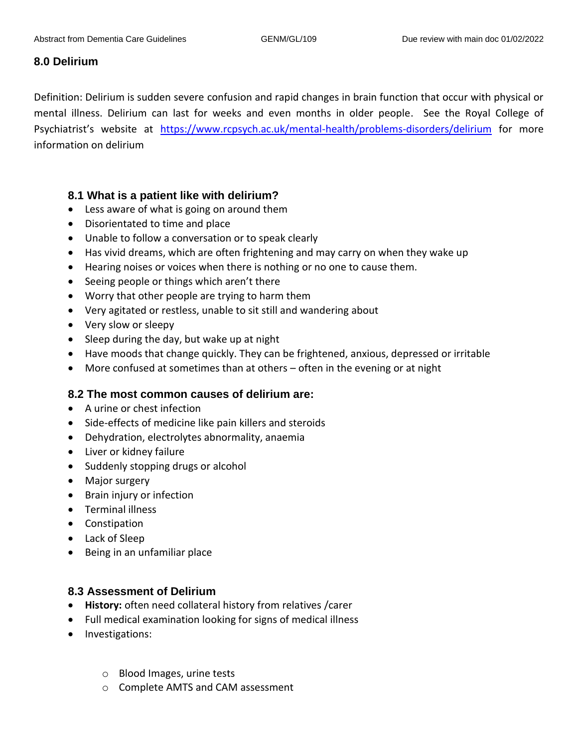## **8.0 Delirium**

Definition: Delirium is sudden severe confusion and rapid changes in brain function that occur with physical or mental illness. Delirium can last for weeks and even months in older people. See the Royal College of Psychiatrist's website at <https://www.rcpsych.ac.uk/mental-health/problems-disorders/delirium> for more information on delirium

## **8.1 What is a patient like with delirium?**

- Less aware of what is going on around them
- Disorientated to time and place
- Unable to follow a conversation or to speak clearly
- Has vivid dreams, which are often frightening and may carry on when they wake up
- Hearing noises or voices when there is nothing or no one to cause them.
- Seeing people or things which aren't there
- Worry that other people are trying to harm them
- Very agitated or restless, unable to sit still and wandering about
- Very slow or sleepy
- Sleep during the day, but wake up at night
- Have moods that change quickly. They can be frightened, anxious, depressed or irritable
- More confused at sometimes than at others often in the evening or at night

## **8.2 The most common causes of delirium are:**

- A urine or chest infection
- Side-effects of medicine like pain killers and steroids
- Dehydration, electrolytes abnormality, anaemia
- Liver or kidney failure
- Suddenly stopping drugs or alcohol
- Major surgery
- Brain injury or infection
- Terminal illness
- Constipation
- Lack of Sleep
- Being in an unfamiliar place

## **8.3 Assessment of Delirium**

- **History:** often need collateral history from relatives /carer
- Full medical examination looking for signs of medical illness
- Investigations:
	- o Blood Images, urine tests
	- o Complete AMTS and CAM assessment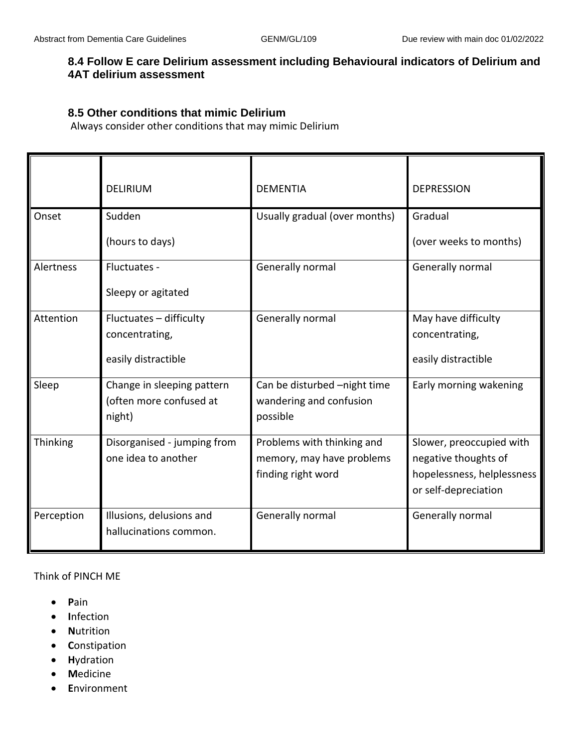## **8.4 Follow E care Delirium assessment including Behavioural indicators of Delirium and 4AT delirium assessment**

### **8.5 Other conditions that mimic Delirium**

Always consider other conditions that may mimic Delirium

|            | <b>DELIRIUM</b>                                                  | <b>DEMENTIA</b>                                                               | <b>DEPRESSION</b>                                                                                      |
|------------|------------------------------------------------------------------|-------------------------------------------------------------------------------|--------------------------------------------------------------------------------------------------------|
| Onset      | Sudden<br>(hours to days)                                        | Usually gradual (over months)                                                 | Gradual<br>(over weeks to months)                                                                      |
| Alertness  | Fluctuates -<br>Sleepy or agitated                               | Generally normal                                                              | Generally normal                                                                                       |
| Attention  | Fluctuates - difficulty<br>concentrating,<br>easily distractible | Generally normal                                                              | May have difficulty<br>concentrating,<br>easily distractible                                           |
| Sleep      | Change in sleeping pattern<br>(often more confused at<br>night)  | Can be disturbed -night time<br>wandering and confusion<br>possible           | Early morning wakening                                                                                 |
| Thinking   | Disorganised - jumping from<br>one idea to another               | Problems with thinking and<br>memory, may have problems<br>finding right word | Slower, preoccupied with<br>negative thoughts of<br>hopelessness, helplessness<br>or self-depreciation |
| Perception | Illusions, delusions and<br>hallucinations common.               | Generally normal                                                              | Generally normal                                                                                       |

Think of PINCH ME

- **P**ain
- **I**nfection
- **N**utrition
- **C**onstipation
- **H**ydration
- **M**edicine
- **E**nvironment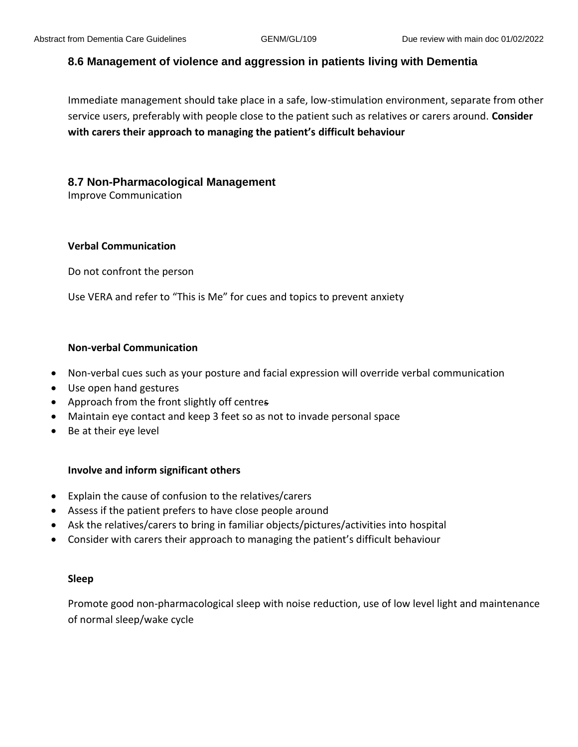## **8.6 Management of violence and aggression in patients living with Dementia**

Immediate management should take place in a safe, low-stimulation environment, separate from other service users, preferably with people close to the patient such as relatives or carers around. **Consider with carers their approach to managing the patient's difficult behaviour**

### **8.7 Non-Pharmacological Management**

Improve Communication

### **Verbal Communication**

Do not confront the person

Use VERA and refer to "This is Me" for cues and topics to prevent anxiety

### **Non-verbal Communication**

- Non-verbal cues such as your posture and facial expression will override verbal communication
- Use open hand gestures
- Approach from the front slightly off centres
- Maintain eye contact and keep 3 feet so as not to invade personal space
- Be at their eye level

### **Involve and inform significant others**

- Explain the cause of confusion to the relatives/carers
- Assess if the patient prefers to have close people around
- Ask the relatives/carers to bring in familiar objects/pictures/activities into hospital
- Consider with carers their approach to managing the patient's difficult behaviour

#### **Sleep**

Promote good non-pharmacological sleep with noise reduction, use of low level light and maintenance of normal sleep/wake cycle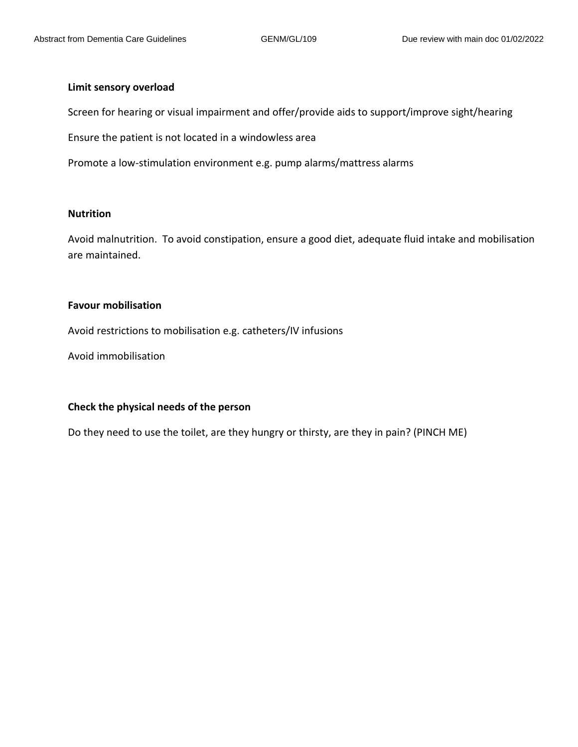#### **Limit sensory overload**

Screen for hearing or visual impairment and offer/provide aids to support/improve sight/hearing

Ensure the patient is not located in a windowless area

Promote a low-stimulation environment e.g. pump alarms/mattress alarms

### **Nutrition**

Avoid malnutrition. To avoid constipation, ensure a good diet, adequate fluid intake and mobilisation are maintained.

#### **Favour mobilisation**

Avoid restrictions to mobilisation e.g. catheters/IV infusions

Avoid immobilisation

#### **Check the physical needs of the person**

Do they need to use the toilet, are they hungry or thirsty, are they in pain? (PINCH ME)